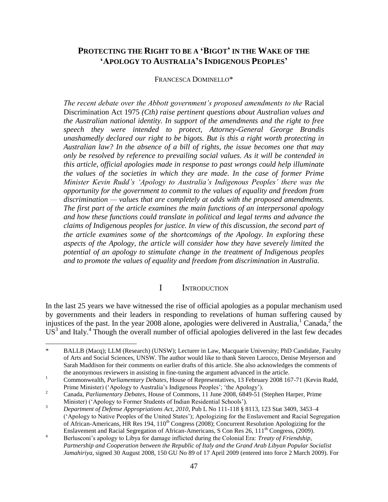# **PROTECTING THE RIGHT TO BE A 'BIGOT' IN THE WAKE OF THE 'APOLOGY TO AUSTRALIA'S INDIGENOUS PEOPLES'**

#### FRANCESCA DOMINELLO\*

*The recent debate over the Abbott government's proposed amendments to the Racial* Discrimination Act 1975 *(Cth) raise pertinent questions about Australian values and the Australian national identity. In support of the amendments and the right to free speech they were intended to protect, Attorney-General George Brandis unashamedly declared our right to be bigots. But is this a right worth protecting in Australian law? In the absence of a bill of rights, the issue becomes one that may only be resolved by reference to prevailing social values. As it will be contended in this article, official apologies made in response to past wrongs could help illuminate the values of the societies in which they are made. In the case of former Prime Minister Kevin Rudd's 'Apology to Australia's Indigenous Peoples' there was the opportunity for the government to commit to the values of equality and freedom from discrimination — values that are completely at odds with the proposed amendments. The first part of the article examines the main functions of an interpersonal apology and how these functions could translate in political and legal terms and advance the claims of Indigenous peoples for justice. In view of this discussion, the second part of the article examines some of the shortcomings of the Apology. In exploring these aspects of the Apology, the article will consider how they have severely limited the potential of an apology to stimulate change in the treatment of Indigenous peoples and to promote the values of equality and freedom from discrimination in Australia.*

## I INTRODUCTION

In the last 25 years we have witnessed the rise of official apologies as a popular mechanism used by governments and their leaders in responding to revelations of human suffering caused by injustices of the past. In the year 2008 alone, apologies were delivered in Australia,  $^1$  Canada,  $^2$  the  $\overline{US}^3$  and Italy.<sup>4</sup> Though the overall number of official apologies delivered in the last few decades

l

<sup>\*</sup> BALLB (Macq); LLM (Research) (UNSW); Lecturer in Law, Macquarie University; PhD Candidate, Faculty of Arts and Social Sciences, UNSW. The author would like to thank Steven Larocco, Denise Meyerson and Sarah Maddison for their comments on earlier drafts of this article. She also acknowledges the comments of the anonymous reviewers in assisting in fine-tuning the argument advanced in the article.

<sup>1</sup> Commonwealth, *Parliamentary Debates*, House of Representatives, 13 February 2008 167-71 (Kevin Rudd, Prime Minister) ('Apology to Australia's Indigenous Peoples'; 'the Apology').

<sup>2</sup> Canada, *Parliamentary Debates*, House of Commons, 11 June 2008, 6849-51 (Stephen Harper, Prime Minister) ('Apology to Former Students of Indian Residential Schools').

<sup>&</sup>lt;sup>3</sup> *Department of Defense Appropriations Act, 2010*, Pub L No 111-118 § 8113, 123 Stat 3409, 3453–4 ('Apology to Native Peoples of the United States'); Apologizing for the Enslavement and Racial Segregation of African-Americans, HR Res  $194$ ,  $110<sup>th</sup>$  Congress (2008); Concurrent Resolution Apologizing for the Enslavement and Racial Segregation of African-Americans, S Con Res 26, 111<sup>th</sup> Congress, (2009).

<sup>4</sup> Berlusconi's apology to Libya for damage inflicted during the Colonial Era: *Treaty of Friendship, Partnership and Cooperation between the Republic of Italy and the Grand Arab Libyan Popular Socialist Jamahiriya*, signed 30 August 2008, 150 GU No 89 of 17 April 2009 (entered into force 2 March 2009). For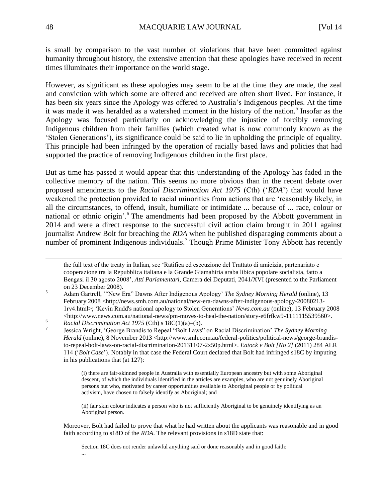is small by comparison to the vast number of violations that have been committed against humanity throughout history, the extensive attention that these apologies have received in recent times illuminates their importance on the world stage.

However, as significant as these apologies may seem to be at the time they are made, the zeal and conviction with which some are offered and received are often short lived. For instance, it has been six years since the Apology was offered to Australia's Indigenous peoples. At the time it was made it was heralded as a watershed moment in the history of the nation.<sup>5</sup> Insofar as the Apology was focused particularly on acknowledging the injustice of forcibly removing Indigenous children from their families (which created what is now commonly known as the 'Stolen Generations'), its significance could be said to lie in upholding the principle of equality. This principle had been infringed by the operation of racially based laws and policies that had supported the practice of removing Indigenous children in the first place.

But as time has passed it would appear that this understanding of the Apology has faded in the collective memory of the nation. This seems no more obvious than in the recent debate over proposed amendments to the *Racial Discrimination Act 1975* (Cth) ('*RDA*') that would have weakened the protection provided to racial minorities from actions that are 'reasonably likely, in all the circumstances, to offend, insult, humiliate or intimidate ... because of ... race, colour or national or ethnic origin'.<sup>6</sup> The amendments had been proposed by the Abbott government in 2014 and were a direct response to the successful civil action claim brought in 2011 against journalist Andrew Bolt for breaching the *RDA* when he published disparaging comments about a number of prominent Indigenous individuals.<sup>7</sup> Though Prime Minister Tony Abbott has recently

(ii) fair skin colour indicates a person who is not sufficiently Aboriginal to be genuinely identifying as an Aboriginal person.

Moreover, Bolt had failed to prove that what he had written about the applicants was reasonable and in good faith according to s18D of the *RDA*. The relevant provisions in s18D state that:

Section 18C does not render unlawful anything said or done reasonably and in good faith: ...

l

in his publications that (at 127):

the full text of the treaty in Italian, see 'Ratifica ed esecuzione del Trattato di amicizia, partenariato e cooperazione tra la Repubblica italiana e la Grande Giamahiria araba libica popolare socialista, fatto a Bengasi il 30 agosto 2008', *Atti Parlamentari*, Camera dei Deputati, 2041/XVI (presented to the Parliament on 23 December 2008).

<sup>5</sup> Adam Gartrell, '"New Era" Dawns After Indigenous Apology' *The Sydney Morning Herald* (online), 13 February 2008 <http://news.smh.com.au/national/new-era-dawns-after-indigenous-apology-20080213-1rv4.html>; 'Kevin Rudd's national apology to Stolen Generations' *News.com.au* (online), 13 February 2008  $\langle$ http://www.news.com.au/national-news/pm-moves-to-heal-the-nation/story-e6frfkw9-1111115539560>. <sup>6</sup> *Racial Discrimination Act 1975* (Cth) s 18C(1)(a)–(b).

<sup>7</sup> Jessica Wright, 'George Brandis to Repeal "Bolt Laws" on Racial Discrimination' *The Sydney Morning Herald* (online), 8 November 2013 <http://www.smh.com.au/federal-politics/political-news/george-brandisto-repeal-bolt-laws-on-racial-discrimination-20131107-2x50p.html>. *Eatock v Bolt [No 2]* (2011) 284 ALR 114 ('*Bolt Case*'). Notably in that case the Federal Court declared that Bolt had infringed s18C by imputing

<sup>(</sup>i) there are fair-skinned people in Australia with essentially European ancestry but with some Aboriginal descent, of which the individuals identified in the articles are examples, who are not genuinely Aboriginal persons but who, motivated by career opportunities available to Aboriginal people or by political activism, have chosen to falsely identify as Aboriginal; and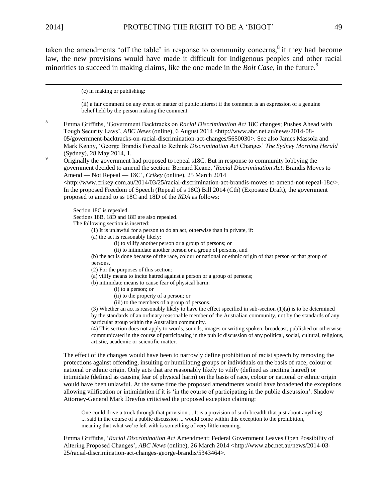$\overline{\phantom{0}}$ 

taken the amendments 'off the table' in response to community concerns,  $\delta$  if they had become law, the new provisions would have made it difficult for Indigenous peoples and other racial minorities to succeed in making claims, like the one made in the *Bolt Case*, in the future.<sup>9</sup>

(c) in making or publishing:

...

(ii) a fair comment on any event or matter of public interest if the comment is an expression of a genuine belief held by the person making the comment.

<sup>8</sup> Emma Griffiths, 'Government Backtracks on *Racial Discrimination Act* 18C changes; Pushes Ahead with Tough Security Laws', *ABC News* (online), 6 August 2014 <http://www.abc.net.au/news/2014-08- 05/government-backtracks-on-racial-discrimination-act-changes/5650030>. See also James Massola and Mark Kenny, 'George Brandis Forced to Rethink *Discrimination Act* Changes' *The Sydney Morning Herald* (Sydney), 28 May 2014, 1.

<sup>9</sup> Originally the government had proposed to repeal s18C. But in response to community lobbying the government decided to amend the section: Bernard Keane, '*Racial Discrimination Act*: Brandis Moves to Amend — Not Repeal — 18C', *Crikey* (online), 25 March 2014

 $\lt$ http://www.crikey.com.au/2014/03/25/racial-discrimination-act-brandis-moves-to-amend-not-repeal-18c/ $\gt$ . In the proposed Freedom of Speech (Repeal of s 18C) Bill 2014 (Cth) (Exposure Draft), the government proposed to amend to ss 18C and 18D of the *RDA* as follows:

Section 18C is repealed.

Sections 18B, 18D and 18E are also repealed.

The following section is inserted:

(1) It is unlawful for a person to do an act, otherwise than in private, if:

- (a) the act is reasonably likely:
	- (i) to vilify another person or a group of persons; or
	- (ii) to intimidate another person or a group of persons, and

(b) the act is done because of the race, colour or national or ethnic origin of that person or that group of persons.

(2) For the purposes of this section:

(a) vilify means to incite hatred against a person or a group of persons;

(b) intimidate means to cause fear of physical harm:

- (i) to a person; or
- (ii) to the property of a person; or
- (iii) to the members of a group of persons.

(3) Whether an act is reasonably likely to have the effect specified in sub-section (1)(a) is to be determined by the standards of an ordinary reasonable member of the Australian community, not by the standards of any particular group within the Australian community.

(4) This section does not apply to words, sounds, images or writing spoken, broadcast, published or otherwise communicated in the course of participating in the public discussion of any political, social, cultural, religious, artistic, academic or scientific matter.

The effect of the changes would have been to narrowly define prohibition of racist speech by removing the protections against offending, insulting or humiliating groups or individuals on the basis of race, colour or national or ethnic origin. Only acts that are reasonably likely to vilify (defined as inciting hatred) or intimidate (defined as causing fear of physical harm) on the basis of race, colour or national or ethnic origin would have been unlawful. At the same time the proposed amendments would have broadened the exceptions allowing vilification or intimidation if it is 'in the course of participating in the public discussion'. Shadow Attorney-General Mark Dreyfus criticised the proposed exception claiming:

One could drive a truck through that provision ... It is a provision of such breadth that just about anything ... said in the course of a public discussion ... would come within this exception to the prohibition, meaning that what we're left with is something of very little meaning.

Emma Griffiths, '*Racial Discrimination Act* Amendment: Federal Government Leaves Open Possibility of Altering Proposed Changes', *ABC News* (online), 26 March 2014 <http://www.abc.net.au/news/2014-03- 25/racial-discrimination-act-changes-george-brandis/5343464>.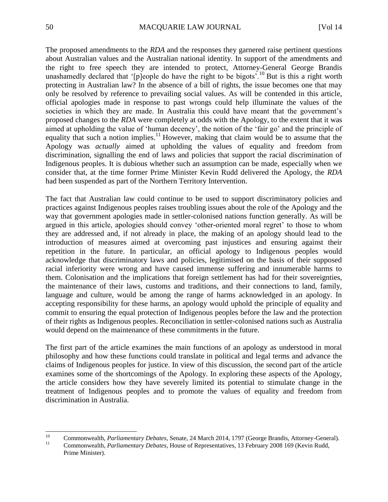The proposed amendments to the *RDA* and the responses they garnered raise pertinent questions about Australian values and the Australian national identity. In support of the amendments and the right to free speech they are intended to protect, Attorney-General George Brandis unashamedly declared that '[p]eople do have the right to be bigots'.<sup>10</sup> But is this a right worth protecting in Australian law? In the absence of a bill of rights, the issue becomes one that may only be resolved by reference to prevailing social values. As will be contended in this article, official apologies made in response to past wrongs could help illuminate the values of the societies in which they are made. In Australia this could have meant that the government's proposed changes to the *RDA* were completely at odds with the Apology, to the extent that it was aimed at upholding the value of 'human decency', the notion of the 'fair go' and the principle of equality that such a notion implies.<sup>11</sup> However, making that claim would be to assume that the Apology was *actually* aimed at upholding the values of equality and freedom from discrimination, signalling the end of laws and policies that support the racial discrimination of Indigenous peoples. It is dubious whether such an assumption can be made, especially when we consider that, at the time former Prime Minister Kevin Rudd delivered the Apology, the *RDA* had been suspended as part of the Northern Territory Intervention.

The fact that Australian law could continue to be used to support discriminatory policies and practices against Indigenous peoples raises troubling issues about the role of the Apology and the way that government apologies made in settler-colonised nations function generally. As will be argued in this article, apologies should convey 'other-oriented moral regret' to those to whom they are addressed and, if not already in place, the making of an apology should lead to the introduction of measures aimed at overcoming past injustices and ensuring against their repetition in the future. In particular, an official apology to Indigenous peoples would acknowledge that discriminatory laws and policies, legitimised on the basis of their supposed racial inferiority were wrong and have caused immense suffering and innumerable harms to them. Colonisation and the implications that foreign settlement has had for their sovereignties, the maintenance of their laws, customs and traditions, and their connections to land, family, language and culture, would be among the range of harms acknowledged in an apology. In accepting responsibility for these harms, an apology would uphold the principle of equality and commit to ensuring the equal protection of Indigenous peoples before the law and the protection of their rights as Indigenous peoples. Reconciliation in settler-colonised nations such as Australia would depend on the maintenance of these commitments in the future.

The first part of the article examines the main functions of an apology as understood in moral philosophy and how these functions could translate in political and legal terms and advance the claims of Indigenous peoples for justice. In view of this discussion, the second part of the article examines some of the shortcomings of the Apology. In exploring these aspects of the Apology, the article considers how they have severely limited its potential to stimulate change in the treatment of Indigenous peoples and to promote the values of equality and freedom from discrimination in Australia.

 $10\,$ <sup>10</sup> Commonwealth, *Parliamentary Debates*, Senate, 24 March 2014, 1797 (George Brandis, Attorney-General).<br>Commonwealth, *Parliamentary Debates*, House of Penrosentatives, 13 February 2008, 160 (Kovin Budd <sup>11</sup> Commonwealth, *Parliamentary Debates*, House of Representatives, 13 February 2008 169 (Kevin Rudd, Prime Minister).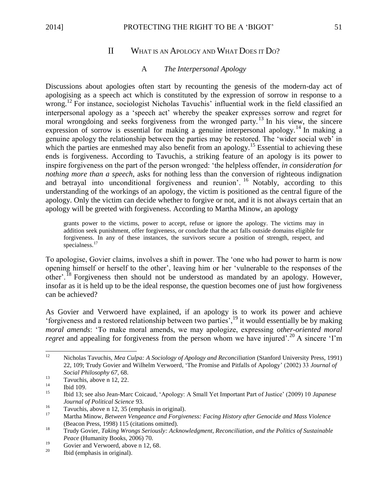# II WHAT IS AN APOLOGY AND WHAT DOES IT DO?

### A *The Interpersonal Apology*

Discussions about apologies often start by recounting the genesis of the modern-day act of apologising as a speech act which is constituted by the expression of sorrow in response to a wrong.<sup>12</sup> For instance, sociologist Nicholas Tavuchis' influential work in the field classified an interpersonal apology as a 'speech act' whereby the speaker expresses sorrow and regret for moral wrongdoing and seeks forgiveness from the wronged party.<sup>13</sup> In his view, the sincere expression of sorrow is essential for making a genuine interpersonal apology.<sup>14</sup> In making a genuine apology the relationship between the parties may be restored. The 'wider social web' in which the parties are enmeshed may also benefit from an apology.<sup>15</sup> Essential to achieving these ends is forgiveness. According to Tavuchis, a striking feature of an apology is its power to inspire forgiveness on the part of the person wronged: 'the helpless offender, *in consideration for nothing more than a speech*, asks for nothing less than the conversion of righteous indignation and betrayal into unconditional forgiveness and reunion'. <sup>16</sup> Notably, according to this understanding of the workings of an apology, the victim is positioned as the central figure of the apology. Only the victim can decide whether to forgive or not, and it is not always certain that an apology will be greeted with forgiveness. According to Martha Minow, an apology

grants power to the victims, power to accept, refuse or ignore the apology. The victims may in addition seek punishment, offer forgiveness, or conclude that the act falls outside domains eligible for forgiveness. In any of these instances, the survivors secure a position of strength, respect, and specialness.<sup>17</sup>

To apologise, Govier claims, involves a shift in power. The 'one who had power to harm is now opening himself or herself to the other', leaving him or her 'vulnerable to the responses of the other'.<sup>18</sup> Forgiveness then should not be understood as mandated by an apology. However, insofar as it is held up to be the ideal response, the question becomes one of just how forgiveness can be achieved?

As Govier and Verwoerd have explained, if an apology is to work its power and achieve 'forgiveness and a restored relationship between two parties',<sup>19</sup> it would essentially be by making *moral amends*: 'To make moral amends, we may apologize, expressing *other-oriented moral regret* and appealing for forgiveness from the person whom we have injured'.<sup>20</sup> A sincere 'I'm

 $12$ <sup>12</sup> Nicholas Tavuchis, *Mea Culpa: A Sociology of Apology and Reconciliation* (Stanford University Press, 1991) 22, 109; Trudy Govier and Wilhelm Verwoerd, 'The Promise and Pitfalls of Apology' (2002) 33 *Journal of Social Philosophy 67,* 68.

 $\frac{13}{14}$  Tavuchis, above n 12, 22.

 $\frac{14}{15}$  Ibid 109.

<sup>15</sup> Ibid 13; see also Jean-Marc Coicaud, 'Apology: A Small Yet Important Part of Justice' (2009) 10 *Japanese Journal of Political Science* 93.

 $\frac{16}{17}$  Tavuchis, above n 12, 35 (emphasis in original).

<sup>17</sup> Martha Minow, *Between Vengeance and Forgiveness: Facing History after Genocide and Mass Violence* (Beacon Press, 1998) 115 (citations omitted).

<sup>18</sup> Trudy Govier, *Taking Wrongs Seriously: Acknowledgment, Reconciliation, and the Politics of Sustainable Peace* (Humanity Books, 2006) 70.

<sup>&</sup>lt;sup>19</sup> Govier and Verwoerd, above n 12, 68.

Ibid (emphasis in original).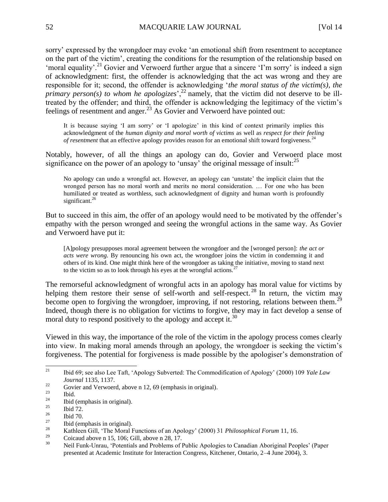sorry' expressed by the wrongdoer may evoke 'an emotional shift from resentment to acceptance on the part of the victim', creating the conditions for the resumption of the relationship based on 'moral equality'.<sup>21</sup> Govier and Verwoerd further argue that a sincere 'I'm sorry' is indeed a sign of acknowledgment: first, the offender is acknowledging that the act was wrong and they are responsible for it; second, the offender is acknowledging '*the moral status of the victim(s), the primary person(s) to whom he apologizes*<sup>22</sup> namely, that the victim did not deserve to be illtreated by the offender; and third, the offender is acknowledging the legitimacy of the victim's feelings of resentment and anger.<sup>23</sup> As Govier and Verwoerd have pointed out:

It is because saying 'I am sorry' or 'I apologize' in this kind of context primarily implies this acknowledgment of the *human dignity and moral worth of victims* as well as *respect for their feeling of resentment* that an effective apology provides reason for an emotional shift toward forgiveness.<sup>24</sup>

Notably, however, of all the things an apology can do, Govier and Verwoerd place most significance on the power of an apology to 'unsay' the original message of insult:  $2^5$ 

No apology can undo a wrongful act. However, an apology can 'unstate' the implicit claim that the wronged person has no moral worth and merits no moral consideration. … For one who has been humiliated or treated as worthless, such acknowledgment of dignity and human worth is profoundly significant. $26$ 

But to succeed in this aim, the offer of an apology would need to be motivated by the offender's empathy with the person wronged and seeing the wrongful actions in the same way. As Govier and Verwoerd have put it:

[A]pology presupposes moral agreement between the wrongdoer and the [wronged person]: *the act or acts were wrong.* By renouncing his own act, the wrongdoer joins the victim in condemning it and others of its kind. One might think here of the wrongdoer as taking the initiative, moving to stand next to the victim so as to look through his eyes at the wrongful actions.<sup>27</sup>

The remorseful acknowledgment of wrongful acts in an apology has moral value for victims by helping them restore their sense of self-worth and self-respect.<sup>28</sup> In return, the victim may become open to forgiving the wrongdoer, improving, if not restoring, relations between them.<sup>29</sup> Indeed, though there is no obligation for victims to forgive, they may in fact develop a sense of moral duty to respond positively to the apology and accept it.<sup>30</sup>

Viewed in this way, the importance of the role of the victim in the apology process comes clearly into view. In making moral amends through an apology, the wrongdoer is seeking the victim's forgiveness. The potential for forgiveness is made possible by the apologiser's demonstration of

 $21$ <sup>21</sup> Ibid 69; see also Lee Taft, 'Apology Subverted: The Commodification of Apology' (2000) 109 *Yale Law Journal* 1135, 1137.

<sup>&</sup>lt;sup>22</sup> Govier and Verwoerd, above n 12, 69 (emphasis in original).

 $\frac{23}{24}$  Ibid.

<sup>&</sup>lt;sup>24</sup> Ibid (emphasis in original).

 $\frac{25}{26}$  Ibid 72.

 $rac{26}{27}$  Ibid 70.

 $\frac{27}{28}$  Ibid (emphasis in original).

<sup>28</sup> Kathleen Gill, 'The Moral Functions of an Apology' (2000) 31 *Philosophical Forum* 11, 16.

 $^{29}$  Coicaud above n 15, 106; Gill, above n 28, 17.

<sup>30</sup> Neil Funk-Unrau, 'Potentials and Problems of Public Apologies to Canadian Aboriginal Peoples' (Paper presented at Academic Institute for Interaction Congress, Kitchener, Ontario, 2–4 June 2004), 3.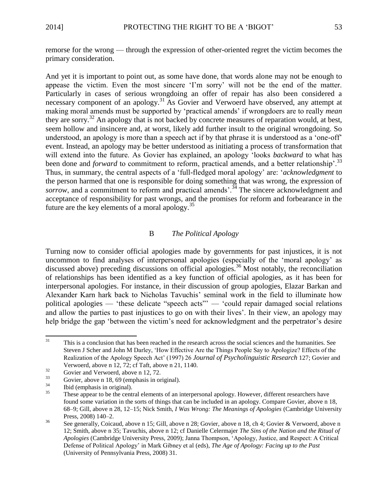remorse for the wrong — through the expression of other-oriented regret the victim becomes the primary consideration.

And yet it is important to point out, as some have done, that words alone may not be enough to appease the victim. Even the most sincere 'I'm sorry' will not be the end of the matter. Particularly in cases of serious wrongdoing an offer of repair has also been considered a necessary component of an apology.<sup>31</sup> As Govier and Verwoerd have observed, any attempt at making moral amends must be supported by 'practical amends' if wrongdoers are to really *mean*  they are sorry.<sup>32</sup> An apology that is not backed by concrete measures of reparation would, at best, seem hollow and insincere and, at worst, likely add further insult to the original wrongdoing. So understood, an apology is more than a speech act if by that phrase it is understood as a 'one-off' event. Instead, an apology may be better understood as initiating a process of transformation that will extend into the future. As Govier has explained, an apology 'looks *backward* to what has been done and *forward* to commitment to reform, practical amends, and a better relationship<sup>'.33</sup> Thus, in summary, the central aspects of a 'full-fledged moral apology' are: '*acknowledgment* to the person harmed that one is responsible for doing something that was wrong, the expression of *sorrow*, and a commitment to reform and practical amends<sup>3,4</sup> The sincere acknowledgment and acceptance of responsibility for past wrongs, and the promises for reform and forbearance in the future are the key elements of a moral apology. $35$ 

## B *The Political Apology*

Turning now to consider official apologies made by governments for past injustices, it is not uncommon to find analyses of interpersonal apologies (especially of the 'moral apology' as discussed above) preceding discussions on official apologies.<sup>36</sup> Most notably, the reconciliation of relationships has been identified as a key function of official apologies, as it has been for interpersonal apologies. For instance, in their discussion of group apologies, Elazar Barkan and Alexander Karn hark back to Nicholas Tavuchis' seminal work in the field to illuminate how political apologies — 'these delicate "speech acts"' — 'could repair damaged social relations and allow the parties to past injustices to go on with their lives'. In their view, an apology may help bridge the gap 'between the victim's need for acknowledgment and the perpetrator's desire

 $31$ This is a conclusion that has been reached in the research across the social sciences and the humanities. See Steven J Scher and John M Darley, 'How Effective Are the Things People Say to Apologize? Effects of the Realization of the Apology Speech Act' (1997) 26 *Journal of Psycholinguistic Research* 127; Govier and Verwoerd, above n 12, 72; cf Taft, above n 21, 1140.

 $32$  Govier and Verwoerd, above n 12, 72.

 $33 \qquad \text{Govier, above n 18, 69 (emphasis in original).}$ 

 $rac{34}{35}$  Ibid (emphasis in original).

These appear to be the central elements of an interpersonal apology. However, different researchers have found some variation in the sorts of things that can be included in an apology. Compare Govier, above n 18, 68–9; Gill, above n 28, 12–15; Nick Smith, *I Was Wrong: The Meanings of Apologies* (Cambridge University Press, 2008) 140–2.

<sup>36</sup> See generally, Coicaud, above n 15; Gill, above n 28; Govier, above n 18, ch 4; Govier & Verwoerd, above n 12; Smith, above n 35; Tavuchis, above n 12; cf Danielle Celermajer *The Sins of the Nation and the Ritual of Apologies* (Cambridge University Press, 2009); Janna Thompson, 'Apology, Justice, and Respect: A Critical Defense of Political Apology' in Mark Gibney et al (eds), *The Age of Apology: Facing up to the Past* (University of Pennsylvania Press, 2008) 31.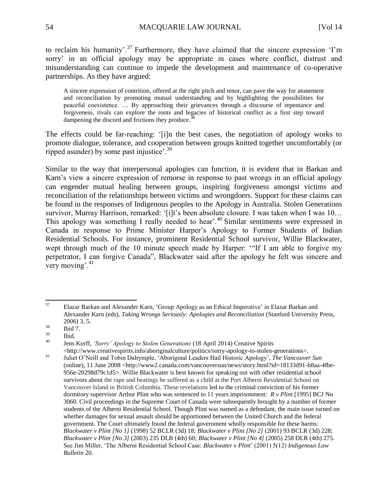to reclaim his humanity'.<sup>37</sup> Furthermore, they have claimed that the sincere expression 'I'm sorry' in an official apology may be appropriate in cases where conflict, distrust and misunderstanding can continue to impede the development and maintenance of co-operative partnerships. As they have argued:

A sincere expression of contrition, offered at the right pitch and tenor, can pave the way for atonement and reconciliation by promoting mutual understanding and by highlighting the possibilities for peaceful coexistence. … By approaching their grievances through a discourse of repentance and forgiveness, rivals can explore the roots and legacies of historical conflict as a first step toward dampening the discord and frictions they produce.<sup>3</sup>

The effects could be far-reaching: '[i]n the best cases, the negotiation of apology works to promote dialogue, tolerance, and cooperation between groups knitted together uncomfortably (or ripped asunder) by some past injustice'.<sup>39</sup>

Similar to the way that interpersonal apologies can function, it is evident that in Barkan and Karn's view a sincere expression of remorse in response to past wrongs in an official apology can engender mutual healing between groups, inspiring forgiveness amongst victims and reconciliation of the relationships between victims and wrongdoers. Support for these claims can be found in the responses of Indigenous peoples to the Apology in Australia. Stolen Generations survivor, Murray Harrison, remarked: '[i]t's been absolute closure. I was taken when I was 10... This apology was something I really needed to hear'.<sup>40</sup> Similar sentiments were expressed in Canada in response to Prime Minister Harper's Apology to Former Students of Indian Residential Schools. For instance, prominent Residential School survivor, Willie Blackwater, wept through much of the 10 minute speech made by Harper: '"If I am able to forgive my perpetrator, I can forgive Canada", Blackwater said after the apology he felt was sincere and very moving'.<sup>41</sup>

<sup>40</sup> Jens Korff, *'Sorry' Apology to Stolen Generations* (18 April 2014) Creative Spirits

<sup>37</sup> <sup>37</sup> Elazar Barkan and Alexander Karn, 'Group Apology as an Ethical Imperative' in Elazar Barkan and Alexander Karn (eds), *Taking Wrongs Seriously: Apologies and Reconciliation* (Stanford University Press, 2006) 3, 5.

 $\frac{38}{39}$  Ibid 7.

 $\begin{array}{cc}\n^{39} & \text{Ibid.} \\
^{40} & \text{I.}\n\end{array}$ 

<sup>&</sup>lt;http://www.creativespirits.info/aboriginalculture/politics/sorry-apology-to-stolen-generations>. <sup>41</sup> Juliet O'Neill and Tobin Dalrymple, 'Aboriginal Leaders Hail Historic Apology', *The Vancouver Sun*  (online), 11 June 2008 <http://www2.canada.com/vancouversun/news/story.html?id=18133d91-b8aa-4fbe-956e-20298d79c1d5>. Willie Blackwater is best known for speaking out with other residential school survivors about the rape and beatings he suffered as a child at the Port Alberni Residential School on Vancouver Island in British Columbia. These revelations led to the criminal conviction of his former dormitory supervisor Arthur Plint who was sentenced to 11 years imprisonment: *R v Plint* [1995] BCJ No 3060. Civil proceedings in the Supreme Court of Canada were subsequently brought by a number of former students of the Alberni Residential School. Though Plint was named as a defendant, the main issue turned on whether damages for sexual assault should be apportioned between the United Church and the federal government. The Court ultimately found the federal government wholly responsible for these harms: *Blackwater v Plint [No 1]* (1998) 52 BCLR (3d) 18; *Blackwater v Plint [No 2]* (2001) 93 BCLR (3d) 228; *Blackwater v Plint [No 3]* (2003) 235 DLR (4th) 60; *Blackwater v Plint [No 4]* (2005) 258 DLR (4th) 275. See Jim Miller, 'The Alberni Residential School Case: *Blackwater v Plint*' (2001) 5(12) *Indigenous Law Bulletin* 20.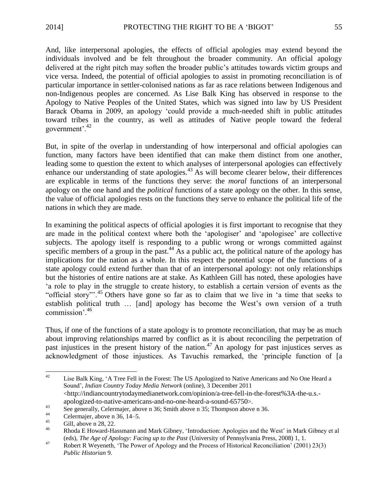And, like interpersonal apologies, the effects of official apologies may extend beyond the individuals involved and be felt throughout the broader community. An official apology delivered at the right pitch may soften the broader public's attitudes towards victim groups and vice versa. Indeed, the potential of official apologies to assist in promoting reconciliation is of particular importance in settler-colonised nations as far as race relations between Indigenous and non-Indigenous peoples are concerned. As Lise Balk King has observed in response to the Apology to Native Peoples of the United States, which was signed into law by US President Barack Obama in 2009, an apology 'could provide a much-needed shift in public attitudes toward tribes in the country, as well as attitudes of Native people toward the federal government'.<sup>42</sup>

But, in spite of the overlap in understanding of how interpersonal and official apologies can function, many factors have been identified that can make them distinct from one another, leading some to question the extent to which analyses of interpersonal apologies can effectively enhance our understanding of state apologies.<sup>43</sup> As will become clearer below, their differences are explicable in terms of the functions they serve: the *moral* functions of an interpersonal apology on the one hand and the *political* functions of a state apology on the other. In this sense, the value of official apologies rests on the functions they serve to enhance the political life of the nations in which they are made.

In examining the political aspects of official apologies it is first important to recognise that they are made in the political context where both the 'apologiser' and 'apologisee' are collective subjects. The apology itself is responding to a public wrong or wrongs committed against specific members of a group in the past.<sup>44</sup> As a public act, the political nature of the apology has implications for the nation as a whole. In this respect the potential scope of the functions of a state apology could extend further than that of an interpersonal apology: not only relationships but the histories of entire nations are at stake. As Kathleen Gill has noted, these apologies have 'a role to play in the struggle to create history, to establish a certain version of events as the "official story"'.<sup>45</sup> Others have gone so far as to claim that we live in 'a time that seeks to establish political truth … [and] apology has become the West's own version of a truth commission'.<sup>46</sup>

Thus, if one of the functions of a state apology is to promote reconciliation, that may be as much about improving relationships marred by conflict as it is about reconciling the perpetration of past injustices in the present history of the nation.<sup>47</sup> An apology for past injustices serves as acknowledgment of those injustices. As Tavuchis remarked, the 'principle function of [a

 $42$ <sup>42</sup> Lise Balk King, 'A Tree Fell in the Forest: The US Apologized to Native Americans and No One Heard a Sound', *Indian Country Today Media Network* (online), 3 December 2011 <http://indiancountrytodaymedianetwork.com/opinion/a-tree-fell-in-the-forest%3A-the-u.s. apologized-to-native-americans-and-no-one-heard-a-sound-65750>.

<sup>&</sup>lt;sup>43</sup><br>See generally, Celermajer, above n 36; Smith above n 35; Thompson above n 36.

<sup>&</sup>lt;sup>44</sup> Celermajer, above n 36, 14–5.<br><sup>45</sup> Gill above n 28, 22

 $^{45}$  Gill, above n 28, 22.

<sup>46</sup> Rhoda E Howard-Hassmann and Mark Gibney, 'Introduction: Apologies and the West' in Mark Gibney et al (eds), *The Age of Apology: Facing up to the Past* (University of Pennsylvania Press, 2008) 1, 1.

<sup>47</sup> Robert R Weyeneth, 'The Power of Apology and the Process of Historical Reconciliation' (2001) 23(3) *Public Historian* 9.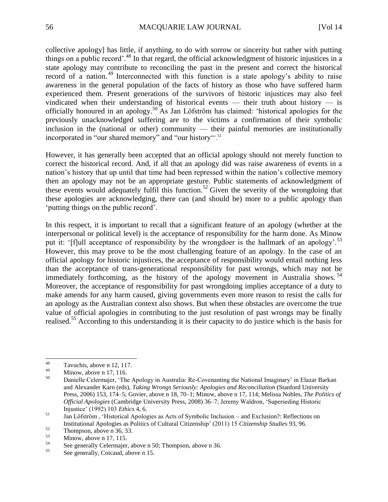collective apology] has little, if anything, to do with sorrow or sincerity but rather with putting things on a public record'.<sup>48</sup> In that regard, the official acknowledgment of historic injustices in a state apology may contribute to reconciling the past in the present and correct the historical record of a nation. <sup>49</sup> Interconnected with this function is a state apology's ability to raise awareness in the general population of the facts of history as those who have suffered harm experienced them. Present generations of the survivors of historic injustices may also feel vindicated when their understanding of historical events — their truth about history — is officially honoured in an apology.<sup>50</sup> As Jan Löfström has claimed: 'historical apologies for the previously unacknowledged suffering are to the victims a confirmation of their symbolic inclusion in the (national or other) community — their painful memories are institutionally incorporated in "our shared memory" and "our history"<sup>51</sup>

However, it has generally been accepted that an official apology should not merely function to correct the historical record. And, if all that an apology did was raise awareness of events in a nation's history that up until that time had been repressed within the nation's collective memory then an apology may not be an appropriate gesture. Public statements of acknowledgment of these events would adequately fulfil this function.<sup>52</sup> Given the severity of the wrongdoing that these apologies are acknowledging, there can (and should be) more to a public apology than 'putting things on the public record'.

In this respect, it is important to recall that a significant feature of an apology (whether at the interpersonal or political level) is the acceptance of responsibility for the harm done. As Minow put it: '[f]ull acceptance of responsibility by the wrongdoer is the hallmark of an apology'.<sup>53</sup> However, this may prove to be the most challenging feature of an apology. In the case of an official apology for historic injustices, the acceptance of responsibility would entail nothing less than the acceptance of trans-generational responsibility for past wrongs, which may not be immediately forthcoming, as the history of the apology movement in Australia shows.  $54$ Moreover, the acceptance of responsibility for past wrongdoing implies acceptance of a duty to make amends for any harm caused, giving governments even more reason to resist the calls for an apology as the Australian context also shows. But when these obstacles are overcome the true value of official apologies in contributing to the just resolution of past wrongs may be finally realised.<sup>55</sup> According to this understanding it is their capacity to do justice which is the basis for

 $48\,$  $\frac{48}{49}$  Tavuchis, above n 12, 117.

 $\frac{49}{50}$  Minow, above n 17, 116.

<sup>50</sup> Danielle Celermajer, 'The Apology in Australia: Re-Covenanting the National Imaginary' in Elazar Barkan and Alexander Karn (eds), *Taking Wrongs Seriously: Apologies and Reconciliation* (Stanford University Press, 2006) 153, 174–5; Govier, above n 18, 70–1; Minow, above n 17, 114; Melissa Nobles, *The Politics of Official Apologies* (Cambridge University Press, 2008) 36–7; Jeremy Waldron, 'Superseding Historic Injustice' (1992) 103 *Ethics* 4, 6.

<sup>&</sup>lt;sup>51</sup> Jan Löfström, 'Historical Apologies as Acts of Symbolic Inclusion – and Exclusion?: Reflections on Institutional Apologies as Politics of Cultural Citizenship' (2011) 15 *Citizenship Studies* 93, 96.

 $\frac{52}{53}$  Thompson, above n 36, 33.

 $\frac{53}{54}$  Minow, above n 17, 115.

<sup>&</sup>lt;sup>54</sup> See generally Celermajer, above n 50; Thompson, above n 36.

See generally, Coicaud, above n 15.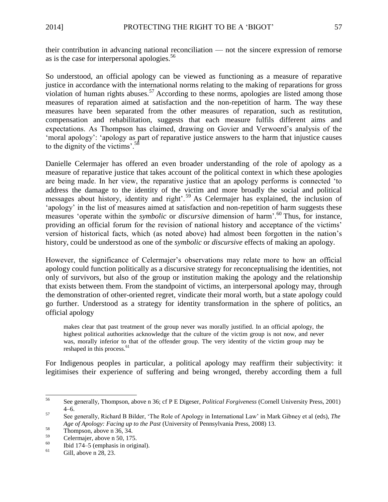their contribution in advancing national reconciliation — not the sincere expression of remorse as is the case for interpersonal apologies.<sup>56</sup>

So understood, an official apology can be viewed as functioning as a measure of reparative justice in accordance with the international norms relating to the making of reparations for gross violation of human rights abuses.<sup>57</sup> According to these norms, apologies are listed among those measures of reparation aimed at satisfaction and the non-repetition of harm. The way these measures have been separated from the other measures of reparation, such as restitution, compensation and rehabilitation, suggests that each measure fulfils different aims and expectations. As Thompson has claimed, drawing on Govier and Verwoerd's analysis of the 'moral apology': 'apology as part of reparative justice answers to the harm that injustice causes to the dignity of the victims'.<sup>58</sup>

Danielle Celermajer has offered an even broader understanding of the role of apology as a measure of reparative justice that takes account of the political context in which these apologies are being made. In her view, the reparative justice that an apology performs is connected 'to address the damage to the identity of the victim and more broadly the social and political messages about history, identity and right'. <sup>59</sup> As Celermajer has explained, the inclusion of 'apology' in the list of measures aimed at satisfaction and non-repetition of harm suggests these measures 'operate within the *symbolic* or *discursive* dimension of harm'.<sup>60</sup> Thus, for instance, providing an official forum for the revision of national history and acceptance of the victims' version of historical facts, which (as noted above) had almost been forgotten in the nation's history, could be understood as one of the *symbolic* or *discursive* effects of making an apology.

However, the significance of Celermajer's observations may relate more to how an official apology could function politically as a discursive strategy for reconceptualising the identities, not only of survivors, but also of the group or institution making the apology and the relationship that exists between them. From the standpoint of victims, an interpersonal apology may, through the demonstration of other-oriented regret, vindicate their moral worth, but a state apology could go further. Understood as a strategy for identity transformation in the sphere of politics, an official apology

makes clear that past treatment of the group never was morally justified. In an official apology, the highest political authorities acknowledge that the culture of the victim group is not now, and never was, morally inferior to that of the offender group. The very identity of the victim group may be reshaped in this process.<sup>61</sup>

For Indigenous peoples in particular, a political apology may reaffirm their subjectivity: it legitimises their experience of suffering and being wronged, thereby according them a full

<sup>56</sup> <sup>56</sup> See generally, Thompson, above n 36; cf P E Digeser, *Political Forgiveness* (Cornell University Press, 2001) 4–6.

<sup>57</sup> See generally, Richard B Bilder, 'The Role of Apology in International Law' in Mark Gibney et al (eds), *The Age of Apology: Facing up to the Past* (University of Pennsylvania Press, 2008) 13.

 $\frac{58}{59}$  Thompson, above n 36, 34.

 $^{59}$  Celermajer, above n 50, 175.<br><sup>60</sup> Ibid 174, 5 (emphasis in origi

<sup>&</sup>lt;sup>60</sup> Ibid 174–5 (emphasis in original).<br><sup>61</sup> Cill above a 28–22

Gill, above n 28, 23.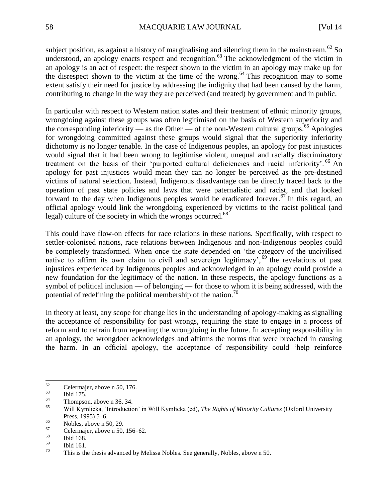subject position, as against a history of marginalising and silencing them in the mainstream.<sup>62</sup> So understood, an apology enacts respect and recognition.<sup>63</sup> The acknowledgment of the victim in an apology is an act of respect: the respect shown to the victim in an apology may make up for the disrespect shown to the victim at the time of the wrong.<sup>64</sup> This recognition may to some extent satisfy their need for justice by addressing the indignity that had been caused by the harm, contributing to change in the way they are perceived (and treated) by government and in public.

In particular with respect to Western nation states and their treatment of ethnic minority groups, wrongdoing against these groups was often legitimised on the basis of Western superiority and the corresponding inferiority — as the Other — of the non-Western cultural groups.<sup>65</sup> Apologies for wrongdoing committed against these groups would signal that the superiority–inferiority dichotomy is no longer tenable. In the case of Indigenous peoples, an apology for past injustices would signal that it had been wrong to legitimise violent, unequal and racially discriminatory treatment on the basis of their 'purported cultural deficiencies and racial inferiority'. <sup>66</sup> An apology for past injustices would mean they can no longer be perceived as the pre-destined victims of natural selection. Instead, Indigenous disadvantage can be directly traced back to the operation of past state policies and laws that were paternalistic and racist, and that looked forward to the day when Indigenous peoples would be eradicated forever.<sup>67</sup> In this regard, an official apology would link the wrongdoing experienced by victims to the racist political (and legal) culture of the society in which the wrongs occurred.<sup>68</sup>

This could have flow-on effects for race relations in these nations. Specifically, with respect to settler-colonised nations, race relations between Indigenous and non-Indigenous peoples could be completely transformed. When once the state depended on 'the category of the uncivilised native to affirm its own claim to civil and sovereign legitimacy', <sup>69</sup> the revelations of past injustices experienced by Indigenous peoples and acknowledged in an apology could provide a new foundation for the legitimacy of the nation. In these respects, the apology functions as a symbol of political inclusion — of belonging — for those to whom it is being addressed, with the potential of redefining the political membership of the nation.<sup>70</sup>

In theory at least, any scope for change lies in the understanding of apology-making as signalling the acceptance of responsibility for past wrongs, requiring the state to engage in a process of reform and to refrain from repeating the wrongdoing in the future. In accepting responsibility in an apology, the wrongdoer acknowledges and affirms the norms that were breached in causing the harm. In an official apology, the acceptance of responsibility could 'help reinforce

<sup>62</sup>  $^{62}$  Celermajer, above n 50, 176.

 $\frac{63}{64}$  Ibid 175.

 $^{64}$  Thompson, above n 36, 34.

<sup>65</sup> Will Kymlicka, 'Introduction' in Will Kymlicka (ed), *The Rights of Minority Cultures* (Oxford University Press, 1995) 5–6.

 $^{66}$  Nobles, above n 50, 29.

 $^{67}$  Celermajer, above n 50, 156–62.

 $\frac{68}{69}$  Ibid 168.

 $\frac{69}{70}$  Ibid 161.

This is the thesis advanced by Melissa Nobles. See generally, Nobles, above n 50.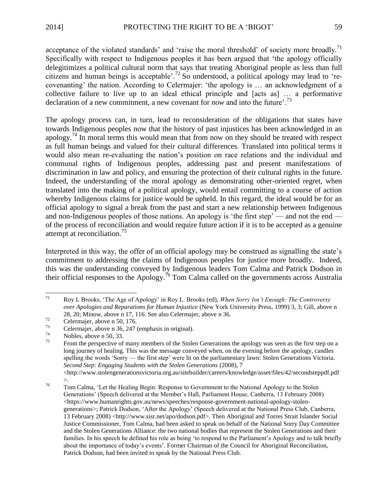acceptance of the violated standards' and 'raise the moral threshold' of society more broadly.<sup>71</sup> Specifically with respect to Indigenous peoples it has been argued that 'the apology officially delegitimizes a political cultural norm that says that treating Aboriginal people as less than full citizens and human beings is acceptable'.<sup>72</sup> So understood, a political apology may lead to 'recovenanting' the nation. According to Celermajer: 'the apology is … an acknowledgment of a collective failure to live up to an ideal ethical principle and [acts as] … a performative declaration of a new commitment, a new covenant for *now* and into the future'.<sup>73</sup>

The apology process can, in turn, lead to reconsideration of the obligations that states have towards Indigenous peoples now that the history of past injustices has been acknowledged in an apology.<sup>74</sup> In moral terms this would mean that from now on they should be treated with respect as full human beings and valued for their cultural differences. Translated into political terms it would also mean re-evaluating the nation's position on race relations and the individual and communal rights of Indigenous peoples, addressing past and present manifestations of discrimination in law and policy, and ensuring the protection of their cultural rights in the future. Indeed, the understanding of the moral apology as demonstrating other-oriented regret, when translated into the making of a political apology, would entail committing to a course of action whereby Indigenous claims for justice would be upheld. In this regard, the ideal would be for an official apology to signal a break from the past and start a new relationship between Indigenous and non-Indigenous peoples of those nations. An apology is 'the first step' — and not the end of the process of reconciliation and would require future action if it is to be accepted as a genuine attempt at reconciliation.<sup>75</sup>

Interpreted in this way, the offer of an official apology may be construed as signalling the state's commitment to addressing the claims of Indigenous peoples for justice more broadly. Indeed, this was the understanding conveyed by Indigenous leaders Tom Calma and Patrick Dodson in their official responses to the Apology.<sup>76</sup> Tom Calma called on the governments across Australia

<http://www.stolengenerationsvictoria.org.au/sitebuilder/careers/knowledge/asset/files/42/secondsteppdf.pdf >.

 $71\,$ <sup>71</sup> Roy L Brooks, 'The Age of Apology' in Roy L. Brooks (ed), *When Sorry Isn't Enough: The Controversy over Apologies and Reparations for Human Injustice* (New York University Press, 1999) 3, 3; Gill, above n 28, 20; Minow, above n 17, 116. See also Celermajer, above n 36.

 $\frac{72}{73}$  Celermajer, above n 50, 176.

 $^{73}$  Celermajer, above n 36, 247 (emphasis in original).

 $^{74}$  Nobles, above n 50, 33.

From the perspective of many members of the Stolen Generations the apology was seen as the first step on a long journey of healing. This was the message conveyed when, on the evening before the apology, candles spelling the words 'Sorry — the first step' were lit on the parliamentary lawn: Stolen Generations Victoria. *Second Step: Engaging Students with the Stolen Generations* (2008), 7

<sup>&</sup>lt;sup>76</sup> Tom Calma, 'Let the Healing Begin: Response to Government to the National Apology to the Stolen Generations' (Speech delivered at the Member's Hall, Parliament House, Canberra, 13 February 2008) <https://www.humanrights.gov.au/news/speeches/response-government-national-apology-stolengenerations>; Patrick Dodson, 'After the Apology' (Speech delivered at the National Press Club, Canberra, 13 February 2008) <http://www.sisr.net/apo/dodson.pdf>. Then Aboriginal and Torres Strait Islander Social Justice Commissioner, Tom Calma, had been asked to speak on behalf of the National Sorry Day Committee and the Stolen Generations Alliance: the two national bodies that represent the Stolen Generations and their families. In his speech he defined his role as being 'to respond to the Parliament's Apology and to talk briefly about the importance of today's events'. Former Chairman of the Council for Aboriginal Reconciliation, Patrick Dodson, had been invited to speak by the National Press Club.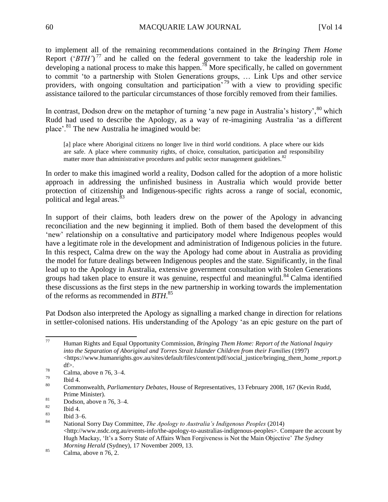to implement all of the remaining recommendations contained in the *Bringing Them Home*  Report ('*BTH'*)<sup>77</sup> and he called on the federal government to take the leadership role in developing a national process to make this happen.<sup>78</sup> More specifically, he called on government to commit 'to a partnership with Stolen Generations groups, … Link Ups and other service providers, with ongoing consultation and participation' <sup>79</sup> with a view to providing specific assistance tailored to the particular circumstances of those forcibly removed from their families.

In contrast, Dodson drew on the metaphor of turning 'a new page in Australia's history',  $80$  which Rudd had used to describe the Apology, as a way of re-imagining Australia 'as a different place'.<sup>81</sup> The new Australia he imagined would be:

[a] place where Aboriginal citizens no longer live in third world conditions. A place where our kids are safe. A place where community rights, of choice, consultation, participation and responsibility matter more than administrative procedures and public sector management guidelines.<sup>82</sup>

In order to make this imagined world a reality, Dodson called for the adoption of a more holistic approach in addressing the unfinished business in Australia which would provide better protection of citizenship and Indigenous-specific rights across a range of social, economic, political and legal areas.<sup>83</sup>

In support of their claims, both leaders drew on the power of the Apology in advancing reconciliation and the new beginning it implied. Both of them based the development of this 'new' relationship on a consultative and participatory model where Indigenous peoples would have a legitimate role in the development and administration of Indigenous policies in the future. In this respect, Calma drew on the way the Apology had come about in Australia as providing the model for future dealings between Indigenous peoples and the state. Significantly, in the final lead up to the Apology in Australia, extensive government consultation with Stolen Generations groups had taken place to ensure it was genuine, respectful and meaningful.<sup>84</sup> Calma identified these discussions as the first steps in the new partnership in working towards the implementation of the reforms as recommended in *BTH*. 85

Pat Dodson also interpreted the Apology as signalling a marked change in direction for relations in settler-colonised nations. His understanding of the Apology 'as an epic gesture on the part of

 $77\,$ <sup>77</sup> Human Rights and Equal Opportunity Commission, *Bringing Them Home: Report of the National Inquiry into the Separation of Aboriginal and Torres Strait Islander Children from their Families* (1997)  $\langle$ https://www.humanrights.gov.au/sites/default/files/content/pdf/social\_justice/bringing\_them\_home\_report.p df>.

 $\frac{78}{79}$  Calma, above n 76, 3–4.

 $\begin{array}{r} 79 \\ 80 \end{array}$  Ibid 4.

<sup>80</sup> Commonwealth, *Parliamentary Debates*, House of Representatives, 13 February 2008, 167 (Kevin Rudd, Prime Minister).

 $\frac{81}{82}$  Dodson, above n 76, 3–4.

 $\frac{82}{83}$  Ibid 4.

 $\begin{array}{cc}\n & \text{B3} \\
 & \text{B4}\n\end{array}$  Ibid 3–6.

<sup>84</sup> National Sorry Day Committee, *The Apology to Australia's Indigenous Peoples* (2014) <http://www.nsdc.org.au/events-info/the-apology-to-australias-indigenous-peoples>. Compare the account by Hugh Mackay, 'It's a Sorry State of Affairs When Forgiveness is Not the Main Objective' *The Sydney Morning Herald* (Sydney), 17 November 2009, 13.

 $85$  Calma, above n 76, 2.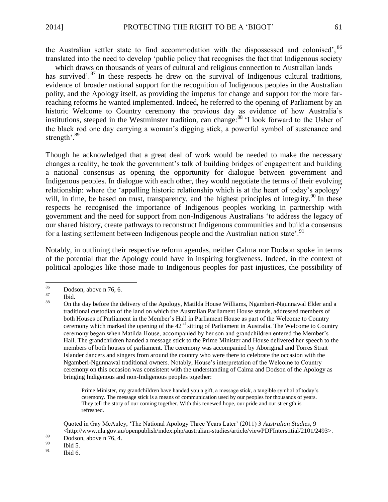the Australian settler state to find accommodation with the dispossessed and colonised', <sup>86</sup> translated into the need to develop 'public policy that recognises the fact that Indigenous society — which draws on thousands of years of cultural and religious connection to Australian lands has survived'.<sup>87</sup> In these respects he drew on the survival of Indigenous cultural traditions, evidence of broader national support for the recognition of Indigenous peoples in the Australian polity, and the Apology itself, as providing the impetus for change and support for the more farreaching reforms he wanted implemented. Indeed, he referred to the opening of Parliament by an historic Welcome to Country ceremony the previous day as evidence of how Australia's institutions, steeped in the Westminster tradition, can change:<sup>88</sup> 'I look forward to the Usher of the black rod one day carrying a woman's digging stick, a powerful symbol of sustenance and strength'.<sup>89</sup>

Though he acknowledged that a great deal of work would be needed to make the necessary changes a reality, he took the government's talk of building bridges of engagement and building a national consensus as opening the opportunity for dialogue between government and Indigenous peoples. In dialogue with each other, they would negotiate the terms of their evolving relationship: where the 'appalling historic relationship which is at the heart of today's apology' will, in time, be based on trust, transparency, and the highest principles of integrity.<sup>90</sup> In these respects he recognised the importance of Indigenous peoples working in partnership with government and the need for support from non-Indigenous Australians 'to address the legacy of our shared history, create pathways to reconstruct Indigenous communities and build a consensus for a lasting settlement between Indigenous people and the Australian nation state'.<sup>91</sup>

Notably, in outlining their respective reform agendas, neither Calma nor Dodson spoke in terms of the potential that the Apology could have in inspiring forgiveness. Indeed, in the context of political apologies like those made to Indigenous peoples for past injustices, the possibility of

Prime Minister, my grandchildren have handed you a gift, a message stick, a tangible symbol of today's ceremony. The message stick is a means of communication used by our peoples for thousands of years. They tell the story of our coming together. With this renewed hope, our pride and our strength is refreshed.

Quoted in Gay McAuley, 'The National Apology Three Years Later' (2011) 3 *Australian Studies*, 9  $\langle$ http://www.nla.gov.au/openpublish/index.php/australian-studies/article/viewPDFInterstitial/2101/2493>.

 $\frac{90}{91}$  Ibid 5.

<sup>86</sup>  $\frac{86}{87}$  Dodson, above n 76, 6.

 $rac{87}{88}$  Ibid.

<sup>88</sup> On the day before the delivery of the Apology, Matilda House Williams, Ngamberi-Ngunnawal Elder and a traditional custodian of the land on which the Australian Parliament House stands, addressed members of both Houses of Parliament in the Member's Hall in Parliament House as part of the Welcome to Country ceremony which marked the opening of the  $42<sup>nd</sup>$  sitting of Parliament in Australia. The Welcome to Country ceremony began when Matilda House, accompanied by her son and grandchildren entered the Member's Hall. The grandchildren handed a message stick to the Prime Minister and House delivered her speech to the members of both houses of parliament. The ceremony was accompanied by Aboriginal and Torres Strait Islander dancers and singers from around the country who were there to celebrate the occasion with the Ngamberi-Ngunnawal traditional owners. Notably, House's interpretation of the Welcome to Country ceremony on this occasion was consistent with the understanding of Calma and Dodson of the Apology as bringing Indigenous and non-Indigenous peoples together:

 $\frac{89}{90}$  Dodson, above n 76, 4.

Ibid 6.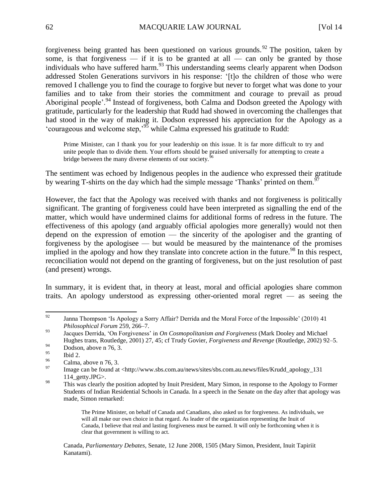forgiveness being granted has been questioned on various grounds.<sup>92</sup> The position, taken by some, is that forgiveness — if it is to be granted at all — can only be granted by those individuals who have suffered harm.<sup>93</sup> This understanding seems clearly apparent when Dodson addressed Stolen Generations survivors in his response: '[t]o the children of those who were removed I challenge you to find the courage to forgive but never to forget what was done to your families and to take from their stories the commitment and courage to prevail as proud Aboriginal people'.<sup>94</sup> Instead of forgiveness, both Calma and Dodson greeted the Apology with gratitude, particularly for the leadership that Rudd had showed in overcoming the challenges that had stood in the way of making it. Dodson expressed his appreciation for the Apology as a 'courageous and welcome step,'<sup>95</sup> while Calma expressed his gratitude to Rudd:

Prime Minister, can I thank you for your leadership on this issue. It is far more difficult to try and unite people than to divide them. Your efforts should be praised universally for attempting to create a bridge between the many diverse elements of our society.<sup>96</sup>

The sentiment was echoed by Indigenous peoples in the audience who expressed their gratitude by wearing T-shirts on the day which had the simple message 'Thanks' printed on them.<sup>9</sup>

However, the fact that the Apology was received with thanks and not forgiveness is politically significant. The granting of forgiveness could have been interpreted as signalling the end of the matter, which would have undermined claims for additional forms of redress in the future. The effectiveness of this apology (and arguably official apologies more generally) would not then depend on the expression of emotion — the sincerity of the apologiser and the granting of forgiveness by the apologisee — but would be measured by the maintenance of the promises implied in the apology and how they translate into concrete action in the future.<sup>98</sup> In this respect, reconciliation would not depend on the granting of forgiveness, but on the just resolution of past (and present) wrongs.

In summary, it is evident that, in theory at least, moral and official apologies share common traits. An apology understood as expressing other-oriented moral regret — as seeing the

Canada, *Parliamentary Debates*, Senate, 12 June 2008, 1505 (Mary Simon, President, Inuit Tapiriit Kanatami).

<sup>92</sup> Janna Thompson 'Is Apology a Sorry Affair? Derrida and the Moral Force of the Impossible' (2010) 41 *Philosophical Forum* 259, 266–7.

<sup>93</sup> Jacques Derrida, 'On Forgiveness' in *On Cosmopolitanism and Forgiveness* (Mark Dooley and Michael Hughes trans, Routledge, 2001) 27, 45; cf Trudy Govier, *Forgiveness and Revenge* (Routledge, 2002) 92–5.

 $\frac{94}{95}$  Dodson, above n 76, 3.

Ibid 2.

 $^{96}$  Calma, above n 76, 3.

Image can be found at <http://www.sbs.com.au/news/sites/sbs.com.au.news/files/Krudd\_apology\_131 114\_getty.JPG>.

<sup>&</sup>lt;sup>98</sup> This was clearly the position adopted by Inuit President, Mary Simon, in response to the Apology to Former Students of Indian Residential Schools in Canada. In a speech in the Senate on the day after that apology was made, Simon remarked:

The Prime Minister, on behalf of Canada and Canadians, also asked us for forgiveness. As individuals, we will all make our own choice in that regard. As leader of the organization representing the Inuit of Canada, I believe that real and lasting forgiveness must be earned. It will only be forthcoming when it is clear that government is willing to act.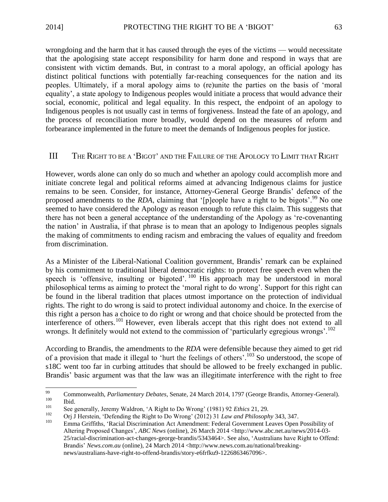wrongdoing and the harm that it has caused through the eyes of the victims — would necessitate that the apologising state accept responsibility for harm done and respond in ways that are consistent with victim demands. But, in contrast to a moral apology, an official apology has distinct political functions with potentially far-reaching consequences for the nation and its peoples. Ultimately, if a moral apology aims to (re)unite the parties on the basis of 'moral equality', a state apology to Indigenous peoples would initiate a process that would advance their social, economic, political and legal equality. In this respect, the endpoint of an apology to Indigenous peoples is not usually cast in terms of forgiveness. Instead the fate of an apology, and the process of reconciliation more broadly, would depend on the measures of reform and forbearance implemented in the future to meet the demands of Indigenous peoples for justice.

# III THE RIGHT TO BE A 'BIGOT' AND THE FAILURE OF THE APOLOGY TO LIMIT THAT RIGHT

However, words alone can only do so much and whether an apology could accomplish more and initiate concrete legal and political reforms aimed at advancing Indigenous claims for justice remains to be seen. Consider, for instance, Attorney-General George Brandis' defence of the proposed amendments to the *RDA*, claiming that '[p]eople have a right to be bigots'.<sup>99</sup> No one seemed to have considered the Apology as reason enough to refute this claim. This suggests that there has not been a general acceptance of the understanding of the Apology as 're-covenanting the nation' in Australia, if that phrase is to mean that an apology to Indigenous peoples signals the making of commitments to ending racism and embracing the values of equality and freedom from discrimination.

As a Minister of the Liberal-National Coalition government, Brandis' remark can be explained by his commitment to traditional liberal democratic rights: to protect free speech even when the speech is 'offensive, insulting or bigoted'.  $100$  His approach may be understood in moral philosophical terms as aiming to protect the 'moral right to do wrong'. Support for this right can be found in the liberal tradition that places utmost importance on the protection of individual rights. The right to do wrong is said to protect individual autonomy and choice. In the exercise of this right a person has a choice to do right or wrong and that choice should be protected from the interference of others.<sup>101</sup> However, even liberals accept that this right does not extend to all wrongs. It definitely would not extend to the commission of 'particularly egregious wrongs'.<sup>102</sup>

According to Brandis, the amendments to the *RDA* were defensible because they aimed to get rid of a provision that made it illegal to 'hurt the feelings of others'.<sup>103</sup> So understood, the scope of s18C went too far in curbing attitudes that should be allowed to be freely exchanged in public. Brandis' basic argument was that the law was an illegitimate interference with the right to free

<sup>99</sup> <sup>99</sup> Commonwealth, *Parliamentary Debates*, Senate, 24 March 2014, 1797 (George Brandis, Attorney-General).

 $\begin{array}{cc}\n 100 \\
 101\n \end{array}$  Ibid.

<sup>101</sup> See generally, Jeremy Waldron, 'A Right to Do Wrong' (1981) 92 *Ethics* 21, 29.

<sup>102</sup> Orj J Herstein, 'Defending the Right to Do Wrong' (2012) 31 *Law and Philosophy* 343, 347. <sup>103</sup> Emma Griffiths, 'Racial Discrimination Act Amendment: Federal Government Leaves Open Possibility of Altering Proposed Changes', *ABC News* (online), 26 March 2014 <http://www.abc.net.au/news/2014-03- 25/racial-discrimination-act-changes-george-brandis/5343464>. See also, 'Australians have Right to Offend: Brandis' *News.com.au* (online), 24 March 2014 <http://www.news.com.au/national/breakingnews/australians-have-right-to-offend-brandis/story-e6frfku9-1226863467096>.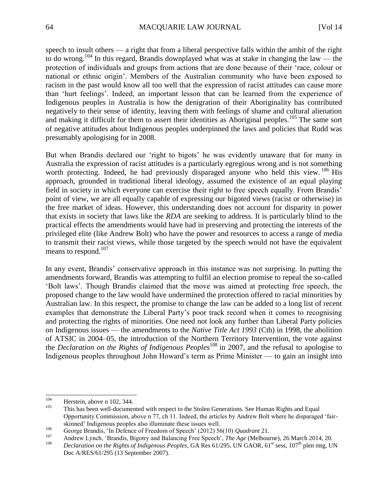speech to insult others — a right that from a liberal perspective falls within the ambit of the right to do wrong.<sup>104</sup> In this regard, Brandis downplayed what was at stake in changing the law — the protection of individuals and groups from actions that are done because of their 'race, colour or national or ethnic origin'. Members of the Australian community who have been exposed to racism in the past would know all too well that the expression of racist attitudes can cause more than 'hurt feelings'. Indeed, an important lesson that can be learned from the experience of Indigenous peoples in Australia is how the denigration of their Aboriginality has contributed negatively to their sense of identity, leaving them with feelings of shame and cultural alienation and making it difficult for them to assert their identities as Aboriginal peoples.<sup>105</sup> The same sort of negative attitudes about Indigenous peoples underpinned the laws and policies that Rudd was presumably apologising for in 2008.

But when Brandis declared our 'right to bigots' he was evidently unaware that for many in Australia the expression of racist attitudes is a particularly egregious wrong and is not something worth protecting. Indeed, he had previously disparaged anyone who held this view. <sup>106</sup> His approach, grounded in traditional liberal ideology, assumed the existence of an equal playing field in society in which everyone can exercise their right to free speech equally. From Brandis' point of view, we are all equally capable of expressing our bigoted views (racist or otherwise) in the free market of ideas. However, this understanding does not account for disparity in power that exists in society that laws like the *RDA* are seeking to address. It is particularly blind to the practical effects the amendments would have had in preserving and protecting the interests of the privileged elite (like Andrew Bolt) who have the power and resources to access a range of media to transmit their racist views, while those targeted by the speech would not have the equivalent means to respond.<sup>107</sup>

In any event, Brandis' conservative approach in this instance was not surprising. In putting the amendments forward, Brandis was attempting to fulfil an election promise to repeal the so-called 'Bolt laws'. Though Brandis claimed that the move was aimed at protecting free speech, the proposed change to the law would have undermined the protection offered to racial minorities by Australian law. In this respect, the promise to change the law can be added to a long list of recent examples that demonstrate the Liberal Party's poor track record when it comes to recognising and protecting the rights of minorities. One need not look any further than Liberal Party policies on Indigenous issues — the amendments to the *Native Title Act 1993* (Cth) in 1998, the abolition of ATSIC in 2004–05, the introduction of the Northern Territory Intervention, the vote against the *Declaration on the Rights of Indigenous Peoples*<sup>108</sup> in 2007, and the refusal to apologise to Indigenous peoples throughout John Howard's term as Prime Minister — to gain an insight into

<sup>104</sup>  $104$  Herstein, above n 102, 344.

This has been well-documented with respect to the Stolen Generations. See Human Rights and Equal Opportunity Commission, above n 77, ch 11. Indeed, the articles by Andrew Bolt where he disparaged 'fairskinned' Indigenous peoples also illuminate these issues well.

<sup>106</sup> George Brandis, 'In Defence of Freedom of Speech' (2012) 56(10) *Quadrant* 21.

<sup>107</sup> Andrew Lynch, 'Brandis, Bigotry and Balancing Free Speech', *The Age* (Melbourne), 26 March 2014, 20.<br>108 Declaration on the Bights of Indiagnous Beaples, GA Bes 61/205, UN GAOB, 61<sup>st</sup> geas, 107<sup>th</sup> plan mts. Ul

Declaration on the Rights of Indigenous Peoples, GA Res 61/295, UN GAOR, 61<sup>st</sup> sess, 107<sup>th</sup> plen mtg, UN Doc A/RES/61/295 (13 September 2007).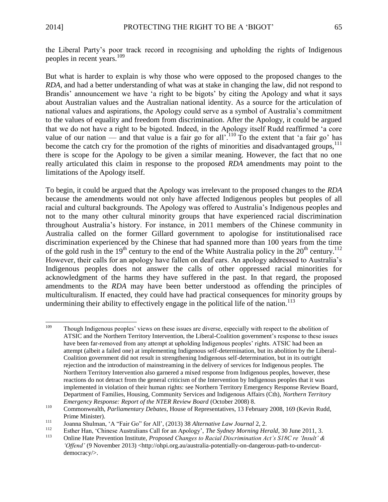the Liberal Party's poor track record in recognising and upholding the rights of Indigenous peoples in recent years.<sup>109</sup>

But what is harder to explain is why those who were opposed to the proposed changes to the *RDA*, and had a better understanding of what was at stake in changing the law, did not respond to Brandis' announcement we have 'a right to be bigots' by citing the Apology and what it says about Australian values and the Australian national identity. As a source for the articulation of national values and aspirations, the Apology could serve as a symbol of Australia's commitment to the values of equality and freedom from discrimination. After the Apology, it could be argued that we do not have a right to be bigoted. Indeed, in the Apology itself Rudd reaffirmed 'a core value of our nation — and that value is a fair go for all  $110^\circ$  To the extent that 'a fair go' has become the catch cry for the promotion of the rights of minorities and disadvantaged groups, $111$ there is scope for the Apology to be given a similar meaning. However, the fact that no one really articulated this claim in response to the proposed *RDA* amendments may point to the limitations of the Apology itself.

To begin, it could be argued that the Apology was irrelevant to the proposed changes to the *RDA* because the amendments would not only have affected Indigenous peoples but peoples of all racial and cultural backgrounds. The Apology was offered to Australia's Indigenous peoples and not to the many other cultural minority groups that have experienced racial discrimination throughout Australia's history. For instance, in 2011 members of the Chinese community in Australia called on the former Gillard government to apologise for institutionalised race discrimination experienced by the Chinese that had spanned more than 100 years from the time of the gold rush in the  $19<sup>th</sup>$  century to the end of the White Australia policy in the  $20<sup>th</sup>$  century.<sup>112</sup> However, their calls for an apology have fallen on deaf ears. An apology addressed to Australia's Indigenous peoples does not answer the calls of other oppressed racial minorities for acknowledgment of the harms they have suffered in the past. In that regard, the proposed amendments to the *RDA* may have been better understood as offending the principles of multiculturalism. If enacted, they could have had practical consequences for minority groups by undermining their ability to effectively engage in the political life of the nation.<sup>113</sup>

<sup>109</sup> Though Indigenous peoples' views on these issues are diverse, especially with respect to the abolition of ATSIC and the Northern Territory Intervention, the Liberal-Coalition government's response to these issues have been far-removed from any attempt at upholding Indigenous peoples' rights. ATSIC had been an attempt (albeit a failed one) at implementing Indigenous self-determination, but its abolition by the Liberal-Coalition government did not result in strengthening Indigenous self-determination, but in its outright rejection and the introduction of mainstreaming in the delivery of services for Indigenous peoples. The Northern Territory Intervention also garnered a mixed response from Indigenous peoples, however, these reactions do not detract from the general criticism of the Intervention by Indigenous peoples that it was implemented in violation of their human rights: see Northern Territory Emergency Response Review Board, Department of Families, Housing, Community Services and Indigenous Affairs (Cth), *Northern Territory Emergency Response: Report of the NTER Review Board* (October 2008) 8.

<sup>110</sup> Commonwealth, *Parliamentary Debates*, House of Representatives, 13 February 2008, 169 (Kevin Rudd, Prime Minister).

<sup>111</sup> Joanna Shulman, 'A "Fair Go" for All', (2013) 38 *Alternative Law Journal* 2, 2.

<sup>&</sup>lt;sup>112</sup> Esther Han, 'Chinese Australians Call for an Apology', *The Sydney Morning Herald*, 30 June 2011, 3.

<sup>113</sup> Online Hate Prevention Institute, *Proposed Changes to Racial Discrimination Act's S18C re 'Insult' &*  '*Offend'* (9 November 2013) <http://ohpi.org.au/australia-potentially-on-dangerous-path-to-undercutdemocracy/>.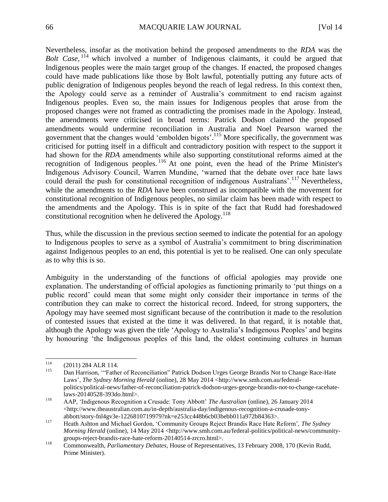Nevertheless, insofar as the motivation behind the proposed amendments to the *RDA* was the Bolt Case, <sup>114</sup> which involved a number of Indigenous claimants, it could be argued that Indigenous peoples were the main target group of the changes. If enacted, the proposed changes could have made publications like those by Bolt lawful, potentially putting any future acts of public denigration of Indigenous peoples beyond the reach of legal redress. In this context then, the Apology could serve as a reminder of Australia's commitment to end racism against Indigenous peoples. Even so, the main issues for Indigenous peoples that arose from the proposed changes were not framed as contradicting the promises made in the Apology. Instead, the amendments were criticised in broad terms: Patrick Dodson claimed the proposed amendments would undermine reconciliation in Australia and Noel Pearson warned the government that the changes would 'embolden bigots'.<sup>115</sup> More specifically, the government was criticised for putting itself in a difficult and contradictory position with respect to the support it had shown for the *RDA* amendments while also supporting constitutional reforms aimed at the recognition of Indigenous peoples.<sup>116</sup> At one point, even the head of the Prime Minister's Indigenous Advisory Council, Warren Mundine, 'warned that the debate over race hate laws could derail the push for constitutional recognition of indigenous Australians'.<sup>117</sup> Nevertheless, while the amendments to the *RDA* have been construed as incompatible with the movement for constitutional recognition of Indigenous peoples, no similar claim has been made with respect to the amendments and the Apology. This is in spite of the fact that Rudd had foreshadowed constitutional recognition when he delivered the Apology.<sup>118</sup>

Thus, while the discussion in the previous section seemed to indicate the potential for an apology to Indigenous peoples to serve as a symbol of Australia's commitment to bring discrimination against Indigenous peoples to an end, this potential is yet to be realised. One can only speculate as to why this is so.

Ambiguity in the understanding of the functions of official apologies may provide one explanation. The understanding of official apologies as functioning primarily to 'put things on a public record' could mean that some might only consider their importance in terms of the contribution they can make to correct the historical record. Indeed, for strong supporters, the Apology may have seemed most significant because of the contribution it made to the resolution of contested issues that existed at the time it was delivered. In that regard, it is notable that, although the Apology was given the title 'Apology to Australia's Indigenous Peoples' and begins by honouring 'the Indigenous peoples of this land, the oldest continuing cultures in human

<sup>114</sup>  $^{114}$  (2011) 284 ALR 114.

<sup>115</sup> Dan Harrison, '"Father of Reconciliation" Patrick Dodson Urges George Brandis Not to Change Race-Hate Laws', *The Sydney Morning Herald* (online), 28 May 2014 <http://www.smh.com.au/federalpolitics/political-news/father-of-reconciliation-patrick-dodson-urges-george-brandis-not-to-change-racehatelaws-20140528-393do.html>.

<sup>116</sup> AAP, 'Indigenous Recognition a Crusade: Tony Abbott' *The Australian* (online), 26 January 2014 <http://www.theaustralian.com.au/in-depth/australia-day/indigenous-recognition-a-crusade-tonyabbott/story-fnl4gv3e-1226810719979?nk=e253cc448b6cb03bebb011a972b84363>.

<sup>117</sup> Heath Ashton and Michael Gordon, 'Community Groups Reject Brandis Race Hate Reform', *The Sydney Morning Herald* (online), 14 May 2014 <http://www.smh.com.au/federal-politics/political-news/communitygroups-reject-brandis-race-hate-reform-20140514-zrcro.html>.

<sup>118</sup> Commonwealth, *Parliamentary Debates*, House of Representatives, 13 February 2008, 170 (Kevin Rudd, Prime Minister).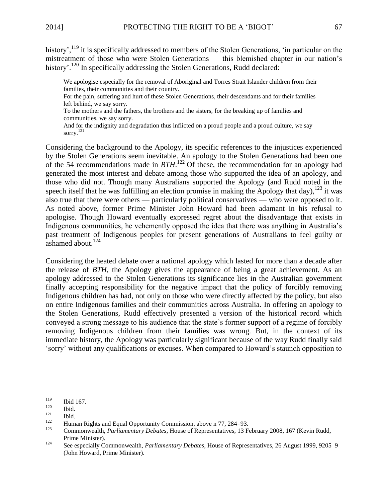history',<sup>119</sup> it is specifically addressed to members of the Stolen Generations, 'in particular on the mistreatment of those who were Stolen Generations — this blemished chapter in our nation's history'.<sup>120</sup> In specifically addressing the Stolen Generations, Rudd declared:

We apologise especially for the removal of Aboriginal and Torres Strait Islander children from their families, their communities and their country.

For the pain, suffering and hurt of these Stolen Generations, their descendants and for their families left behind, we say sorry.

To the mothers and the fathers, the brothers and the sisters, for the breaking up of families and communities, we say sorry.

And for the indignity and degradation thus inflicted on a proud people and a proud culture, we say sorry.<sup>121</sup>

Considering the background to the Apology, its specific references to the injustices experienced by the Stolen Generations seem inevitable. An apology to the Stolen Generations had been one of the 54 recommendations made in *BTH*. <sup>122</sup> Of these, the recommendation for an apology had generated the most interest and debate among those who supported the idea of an apology, and those who did not. Though many Australians supported the Apology (and Rudd noted in the speech itself that he was fulfilling an election promise in making the Apology that day),<sup>123</sup> it was also true that there were others — particularly political conservatives — who were opposed to it. As noted above, former Prime Minister John Howard had been adamant in his refusal to apologise. Though Howard eventually expressed regret about the disadvantage that exists in Indigenous communities, he vehemently opposed the idea that there was anything in Australia's past treatment of Indigenous peoples for present generations of Australians to feel guilty or ashamed about. $124$ 

Considering the heated debate over a national apology which lasted for more than a decade after the release of *BTH*, the Apology gives the appearance of being a great achievement. As an apology addressed to the Stolen Generations its significance lies in the Australian government finally accepting responsibility for the negative impact that the policy of forcibly removing Indigenous children has had, not only on those who were directly affected by the policy, but also on entire Indigenous families and their communities across Australia. In offering an apology to the Stolen Generations, Rudd effectively presented a version of the historical record which conveyed a strong message to his audience that the state's former support of a regime of forcibly removing Indigenous children from their families was wrong. But, in the context of its immediate history, the Apology was particularly significant because of the way Rudd finally said 'sorry' without any qualifications or excuses. When compared to Howard's staunch opposition to

<sup>119</sup>  $\frac{119}{120}$  Ibid 167.

 $\frac{120}{121}$  Ibid.

 $\frac{121}{122}$  Ibid.

<sup>&</sup>lt;sup>122</sup> Human Rights and Equal Opportunity Commission, above n 77, 284–93.

<sup>123</sup> Commonwealth, *Parliamentary Debates*, House of Representatives, 13 February 2008, 167 (Kevin Rudd, Prime Minister).

<sup>124</sup> See especially Commonwealth, *Parliamentary Debates*, House of Representatives, 26 August 1999, 9205–9 (John Howard, Prime Minister).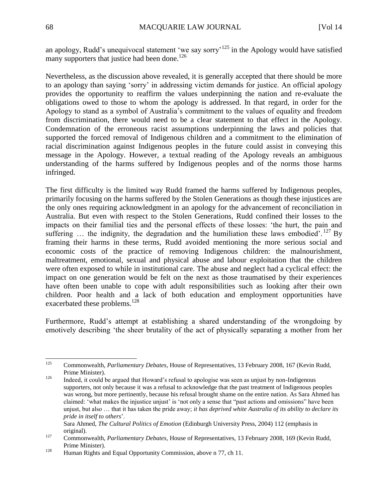an apology, Rudd's unequivocal statement 'we say sorry'<sup>125</sup> in the Apology would have satisfied many supporters that justice had been done.<sup>126</sup>

Nevertheless, as the discussion above revealed, it is generally accepted that there should be more to an apology than saying 'sorry' in addressing victim demands for justice. An official apology provides the opportunity to reaffirm the values underpinning the nation and re-evaluate the obligations owed to those to whom the apology is addressed. In that regard, in order for the Apology to stand as a symbol of Australia's commitment to the values of equality and freedom from discrimination, there would need to be a clear statement to that effect in the Apology. Condemnation of the erroneous racist assumptions underpinning the laws and policies that supported the forced removal of Indigenous children and a commitment to the elimination of racial discrimination against Indigenous peoples in the future could assist in conveying this message in the Apology. However, a textual reading of the Apology reveals an ambiguous understanding of the harms suffered by Indigenous peoples and of the norms those harms infringed.

The first difficulty is the limited way Rudd framed the harms suffered by Indigenous peoples, primarily focusing on the harms suffered by the Stolen Generations as though these injustices are the only ones requiring acknowledgment in an apology for the advancement of reconciliation in Australia. But even with respect to the Stolen Generations, Rudd confined their losses to the impacts on their familial ties and the personal effects of these losses: 'the hurt, the pain and suffering  $\ldots$  the indignity, the degradation and the humiliation these laws embodied'. <sup>127</sup> By framing their harms in these terms, Rudd avoided mentioning the more serious social and economic costs of the practice of removing Indigenous children: the malnourishment, maltreatment, emotional, sexual and physical abuse and labour exploitation that the children were often exposed to while in institutional care. The abuse and neglect had a cyclical effect: the impact on one generation would be felt on the next as those traumatised by their experiences have often been unable to cope with adult responsibilities such as looking after their own children. Poor health and a lack of both education and employment opportunities have exacerbated these problems.<sup>128</sup>

Furthermore, Rudd's attempt at establishing a shared understanding of the wrongdoing by emotively describing 'the sheer brutality of the act of physically separating a mother from her

<sup>125</sup> <sup>125</sup> Commonwealth, *Parliamentary Debates*, House of Representatives, 13 February 2008, 167 (Kevin Rudd, Prime Minister).

 $126$  Indeed, it could be argued that Howard's refusal to apologise was seen as unjust by non-Indigenous supporters, not only because it was a refusal to acknowledge that the past treatment of Indigenous peoples was wrong, but more pertinently, because his refusal brought shame on the entire nation. As Sara Ahmed has claimed: 'what makes the injustice unjust' is 'not only a sense that "past actions and omissions" have been unjust, but also … that it has taken the pride away; *it has deprived white Australia of its ability to declare its pride in itself to others*'.

Sara Ahmed, *The Cultural Politics of Emotion* (Edinburgh University Press, 2004) 112 (emphasis in original).

<sup>127</sup> Commonwealth, *Parliamentary Debates*, House of Representatives, 13 February 2008, 169 (Kevin Rudd, Prime Minister).

<sup>&</sup>lt;sup>128</sup> Human Rights and Equal Opportunity Commission, above n 77, ch 11.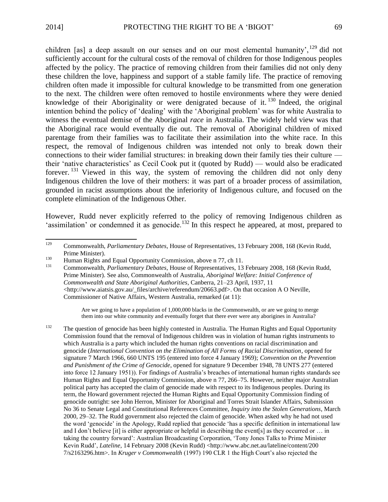children [as] a deep assault on our senses and on our most elemental humanity', <sup>129</sup> did not sufficiently account for the cultural costs of the removal of children for those Indigenous peoples affected by the policy. The practice of removing children from their families did not only deny these children the love, happiness and support of a stable family life. The practice of removing children often made it impossible for cultural knowledge to be transmitted from one generation to the next. The children were often removed to hostile environments where they were denied knowledge of their Aboriginality or were denigrated because of it.<sup>130</sup> Indeed, the original intention behind the policy of 'dealing' with the 'Aboriginal problem' was for white Australia to witness the eventual demise of the Aboriginal *race* in Australia. The widely held view was that the Aboriginal race would eventually die out. The removal of Aboriginal children of mixed parentage from their families was to facilitate their assimilation into the white race. In this respect, the removal of Indigenous children was intended not only to break down their connections to their wider familial structures: in breaking down their family ties their culture their 'native characteristics' as Cecil Cook put it (quoted by Rudd) — would also be eradicated forever.<sup>131</sup> Viewed in this way, the system of removing the children did not only deny Indigenous children the love of their mothers: it was part of a broader process of assimilation, grounded in racist assumptions about the inferiority of Indigenous culture, and focused on the complete elimination of the Indigenous Other.

However, Rudd never explicitly referred to the policy of removing Indigenous children as 'assimilation' or condemned it as genocide.<sup>132</sup> In this respect he appeared, at most, prepared to

<sup>131</sup> Commonwealth, *Parliamentary Debates*, House of Representatives, 13 February 2008, 168 (Kevin Rudd, Prime Minister). See also, Commonwealth of Australia, *Aboriginal Welfare: Initial Conference of Commonwealth and State Aboriginal Authorities*, Canberra, 21–23 April, 1937, 11 <http://www.aiatsis.gov.au/\_files/archive/referendum/20663.pdf>. On that occasion A O Neville, Commissioner of Native Affairs, Western Australia, remarked (at 11):

> Are we going to have a population of 1,000,000 blacks in the Commonwealth, or are we going to merge them into our white community and eventually forget that there ever were any aborigines in Australia?

<sup>132</sup> The question of genocide has been highly contested in Australia. The Human Rights and Equal Opportunity Commission found that the removal of Indigenous children was in violation of human rights instruments to which Australia is a party which included the human rights conventions on racial discrimination and genocide (*International Convention on the Elimination of All Forms of Racial Discrimination*, opened for signature 7 March 1966, 660 UNTS 195 (entered into force 4 January 1969); *Convention on the Prevention and Punishment of the Crime of Genocide*, opened for signature 9 December 1948, 78 UNTS 277 (entered into force 12 January 1951)). For findings of Australia's breaches of international human rights standards see Human Rights and Equal Opportunity Commission, above n 77, 266–75. However, neither major Australian political party has accepted the claim of genocide made with respect to its Indigenous peoples. During its term, the Howard government rejected the Human Rights and Equal Opportunity Commission finding of genocide outright: see John Herron, Minister for Aboriginal and Torres Strait Islander Affairs, Submission No 36 to Senate Legal and Constitutional References Committee, *Inquiry into the Stolen Generations*, March 2000, 29–32. The Rudd government also rejected the claim of genocide. When asked why he had not used the word 'genocide' in the Apology, Rudd replied that genocide 'has a specific definition in international law and I don't believe [it] is either appropriate or helpful in describing the event[s] as they occurred or … in taking the country forward': Australian Broadcasting Corporation, 'Tony Jones Talks to Prime Minister Kevin Rudd', *Lateline*, 14 February 2008 (Kevin Rudd) <http://www.abc.net.au/lateline/content/200 7/s2163296.htm>. In *Kruger v Commonwealth* (1997) 190 CLR 1 the High Court's also rejected the

<sup>129</sup> <sup>129</sup> Commonwealth, *Parliamentary Debates*, House of Representatives, 13 February 2008, 168 (Kevin Rudd, Prime Minister).

<sup>&</sup>lt;sup>130</sup> Human Rights and Equal Opportunity Commission, above n 77, ch 11.<br><sup>131</sup> Commonwealth *Parliamentary Debates*, House of Popposentatives 13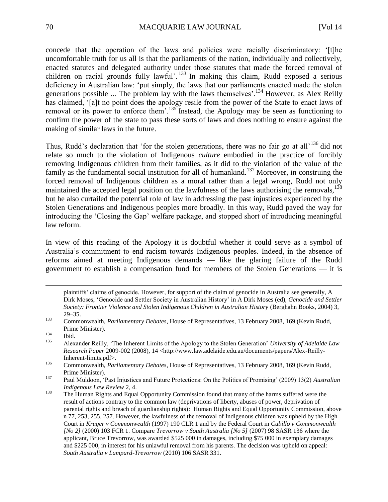concede that the operation of the laws and policies were racially discriminatory: '[t]he uncomfortable truth for us all is that the parliaments of the nation, individually and collectively, enacted statutes and delegated authority under those statutes that made the forced removal of children on racial grounds fully lawful'. <sup>133</sup> In making this claim, Rudd exposed a serious deficiency in Australian law: 'put simply, the laws that our parliaments enacted made the stolen generations possible ... The problem lay with the laws themselves'.<sup>134</sup> However, as Alex Reilly has claimed, '[a]t no point does the apology resile from the power of the State to enact laws of removal or its power to enforce them'.<sup>135</sup> Instead, the Apology may be seen as functioning to confirm the power of the state to pass these sorts of laws and does nothing to ensure against the making of similar laws in the future.

Thus, Rudd's declaration that 'for the stolen generations, there was no fair go at all<sup>136</sup> did not relate so much to the violation of Indigenous *culture* embodied in the practice of forcibly removing Indigenous children from their families, as it did to the violation of the value of the family as the fundamental social institution for all of humankind.<sup>137</sup> Moreover, in construing the forced removal of Indigenous children as a moral rather than a legal wrong, Rudd not only maintained the accepted legal position on the lawfulness of the laws authorising the removals.<sup>138</sup> but he also curtailed the potential role of law in addressing the past injustices experienced by the Stolen Generations and Indigenous peoples more broadly. In this way, Rudd paved the way for introducing the 'Closing the Gap' welfare package, and stopped short of introducing meaningful law reform.

In view of this reading of the Apology it is doubtful whether it could serve as a symbol of Australia's commitment to end racism towards Indigenous peoples. Indeed, in the absence of reforms aimed at meeting Indigenous demands — like the glaring failure of the Rudd government to establish a compensation fund for members of the Stolen Generations — it is

plaintiffs' claims of genocide. However, for support of the claim of genocide in Australia see generally, A Dirk Moses, 'Genocide and Settler Society in Australian History' in A Dirk Moses (ed), *Genocide and Settler Society: Frontier Violence and Stolen Indigenous Children in Australian History* (Berghahn Books, 2004) 3, 29–35.

l

<sup>133</sup> Commonwealth, *Parliamentary Debates*, House of Representatives, 13 February 2008, 169 (Kevin Rudd, Prime Minister).

 $134$  Ibid.

<sup>135</sup> Alexander Reilly, 'The Inherent Limits of the Apology to the Stolen Generation' *University of Adelaide Law Research Paper* 2009-002 (2008), 14 <http://www.law.adelaide.edu.au/documents/papers/Alex-Reilly-Inherent-limits.pdf>.

<sup>136</sup> Commonwealth, *Parliamentary Debates*, House of Representatives, 13 February 2008, 169 (Kevin Rudd, Prime Minister).

<sup>137</sup> Paul Muldoon, 'Past Injustices and Future Protections: On the Politics of Promising' (2009) 13(2) *Australian Indigenous Law Review* 2, 4.

<sup>&</sup>lt;sup>138</sup> The Human Rights and Equal Opportunity Commission found that many of the harms suffered were the result of actions contrary to the common law (deprivations of liberty, abuses of power, deprivation of parental rights and breach of guardianship rights): Human Rights and Equal Opportunity Commission, above n 77, 253, 255, 257. However, the lawfulness of the removal of Indigenous children was upheld by the High Court in *Kruger v Commonwealth* (1997) 190 CLR 1 and by the Federal Court in *Cubillo v Commonwealth [No 2]* (2000) 103 FCR 1. Compare *Trevorrow v South Australia [No 5]* (2007) 98 SASR 136 where the applicant, Bruce Trevorrow, was awarded \$525 000 in damages, including \$75 000 in exemplary damages and \$225 000, in interest for his unlawful removal from his parents. The decision was upheld on appeal: *South Australia v Lampard-Trevorrow* (2010) 106 SASR 331.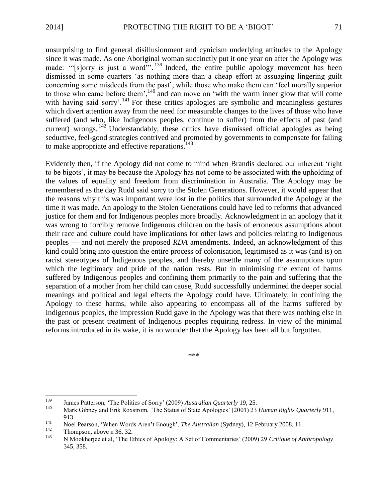unsurprising to find general disillusionment and cynicism underlying attitudes to the Apology since it was made. As one Aboriginal woman succinctly put it one year on after the Apology was made: "[s]orry is just a word"<sup>"</sup>.<sup>139</sup> Indeed, the entire public apology movement has been dismissed in some quarters 'as nothing more than a cheap effort at assuaging lingering guilt concerning some misdeeds from the past', while those who make them can 'feel morally superior to those who came before them', $\frac{140}{1}$  and can move on 'with the warm inner glow that will come with having said sorry'.<sup>141</sup> For these critics apologies are symbolic and meaningless gestures which divert attention away from the need for measurable changes to the lives of those who have suffered (and who, like Indigenous peoples, continue to suffer) from the effects of past (and current) wrongs.<sup>142</sup> Understandably, these critics have dismissed official apologies as being seductive, feel-good strategies contrived and promoted by governments to compensate for failing to make appropriate and effective reparations.<sup>143</sup>

Evidently then, if the Apology did not come to mind when Brandis declared our inherent 'right to be bigots', it may be because the Apology has not come to be associated with the upholding of the values of equality and freedom from discrimination in Australia. The Apology may be remembered as the day Rudd said sorry to the Stolen Generations. However, it would appear that the reasons why this was important were lost in the politics that surrounded the Apology at the time it was made. An apology to the Stolen Generations could have led to reforms that advanced justice for them and for Indigenous peoples more broadly. Acknowledgment in an apology that it was wrong to forcibly remove Indigenous children on the basis of erroneous assumptions about their race and culture could have implications for other laws and policies relating to Indigenous peoples — and not merely the proposed *RDA* amendments. Indeed, an acknowledgment of this kind could bring into question the entire process of colonisation, legitimised as it was (and is) on racist stereotypes of Indigenous peoples, and thereby unsettle many of the assumptions upon which the legitimacy and pride of the nation rests. But in minimising the extent of harms suffered by Indigenous peoples and confining them primarily to the pain and suffering that the separation of a mother from her child can cause, Rudd successfully undermined the deeper social meanings and political and legal effects the Apology could have. Ultimately, in confining the Apology to these harms, while also appearing to encompass all of the harms suffered by Indigenous peoples, the impression Rudd gave in the Apology was that there was nothing else in the past or present treatment of Indigenous peoples requiring redress. In view of the minimal reforms introduced in its wake, it is no wonder that the Apology has been all but forgotten.

\*\*\*

<sup>139</sup> <sup>139</sup> James Patterson, 'The Politics of Sorry' (2009) *Australian Quarterly* 19, 25.<br><sup>140</sup> Mark Gibney and Frik Boxstrom 'The Status of State Anglogies' (2001) 23.

<sup>140</sup> Mark Gibney and Erik Roxstrom, 'The Status of State Apologies' (2001) 23 *Human Rights Quarterly* 911, 913.

<sup>141</sup> Noel Pearson, 'When Words Aren't Enough', *The Australian* (Sydney), 12 February 2008, 11.<br>
Thompson, above n 36, 32

 $^{142}$  Thompson, above n 36, 32.<br><sup>143</sup> N. Mookharjaa at al. 'The E

<sup>143</sup> N Mookherjee et al, 'The Ethics of Apology: A Set of Commentaries' (2009) 29 *Critique of Anthropology* 345, 358.